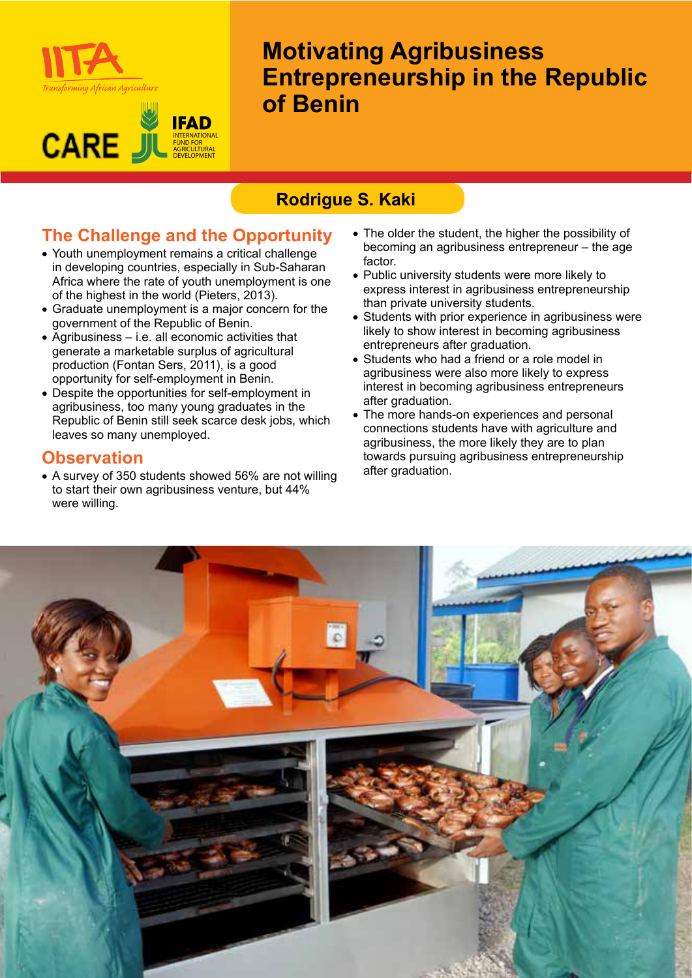

#### **IFAD CARE** J INTERNATIONAL FUND FOR AGRICULTURAL DEVELOPMENT

# **Motivating Agribusiness Entrepreneurship in the Republic of Benin**

# **Rodrigue S. Kaki**

# **The Challenge and the Opportunity**

- Youth unemployment remains a critical challenge in developing countries, especially in Sub-Saharan Africa where the rate of youth unemployment is one of the highest in the world (Pieters, 2013).
- Graduate unemployment is a major concern for the government of the Republic of Benin.
- • Agribusiness i.e. all economic activities that generate a marketable surplus of agricultural production (Fontan Sers, 2011), is a good opportunity for self-employment in Benin.
- Despite the opportunities for self-employment in agribusiness, too many young graduates in the Republic of Benin still seek scarce desk jobs, which leaves so many unemployed.

### **Observation**

• A survey of 350 students showed 56% are not willing to start their own agribusiness venture, but 44% were willing.

- The older the student, the higher the possibility of becoming an agribusiness entrepreneur – the age factor.
- • Public university students were more likely to express interest in agribusiness entrepreneurship than private university students.
- Students with prior experience in agribusiness were likely to show interest in becoming agribusiness entrepreneurs after graduation.
- Students who had a friend or a role model in agribusiness were also more likely to express interest in becoming agribusiness entrepreneurs after graduation.
- The more hands-on experiences and personal connections students have with agriculture and agribusiness, the more likely they are to plan towards pursuing agribusiness entrepreneurship after graduation.